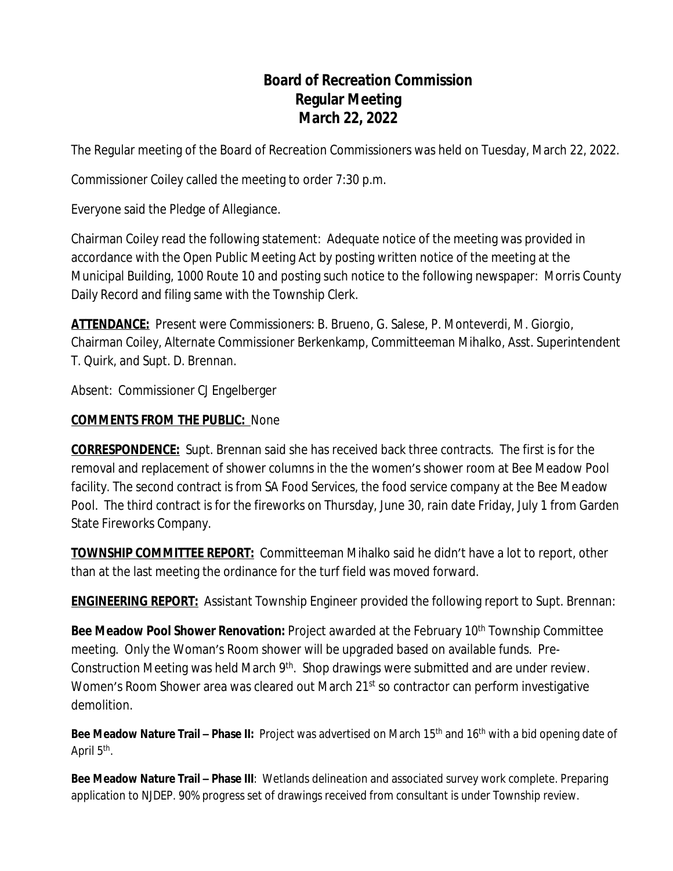# **Board of Recreation Commission Regular Meeting March 22, 2022**

The Regular meeting of the Board of Recreation Commissioners was held on Tuesday, March 22, 2022.

Commissioner Coiley called the meeting to order 7:30 p.m.

Everyone said the Pledge of Allegiance.

Chairman Coiley read the following statement: Adequate notice of the meeting was provided in accordance with the Open Public Meeting Act by posting written notice of the meeting at the Municipal Building, 1000 Route 10 and posting such notice to the following newspaper: Morris County Daily Record and filing same with the Township Clerk.

**ATTENDANCE:** Present were Commissioners: B. Brueno, G. Salese, P. Monteverdi, M. Giorgio, Chairman Coiley, Alternate Commissioner Berkenkamp, Committeeman Mihalko, Asst. Superintendent T. Quirk, and Supt. D. Brennan.

Absent: Commissioner CJ Engelberger

# **COMMENTS FROM THE PUBLIC:** None

**CORRESPONDENCE:** Supt. Brennan said she has received back three contracts. The first is for the removal and replacement of shower columns in the the women's shower room at Bee Meadow Pool facility. The second contract is from SA Food Services, the food service company at the Bee Meadow Pool. The third contract is for the fireworks on Thursday, June 30, rain date Friday, July 1 from Garden State Fireworks Company.

**TOWNSHIP COMMITTEE REPORT:** Committeeman Mihalko said he didn't have a lot to report, other than at the last meeting the ordinance for the turf field was moved forward.

**ENGINEERING REPORT:** Assistant Township Engineer provided the following report to Supt. Brennan:

**Bee Meadow Pool Shower Renovation:** Project awarded at the February 10<sup>th</sup> Township Committee meeting. Only the Woman's Room shower will be upgraded based on available funds. Pre-Construction Meeting was held March 9<sup>th</sup>. Shop drawings were submitted and are under review. Women's Room Shower area was cleared out March 21<sup>st</sup> so contractor can perform investigative demolition.

**Bee Meadow Nature Trail – Phase II:** Project was advertised on March 15<sup>th</sup> and 16<sup>th</sup> with a bid opening date of April 5<sup>th</sup>.

**Bee Meadow Nature Trail – Phase III**: Wetlands delineation and associated survey work complete. Preparing application to NJDEP. 90% progress set of drawings received from consultant is under Township review.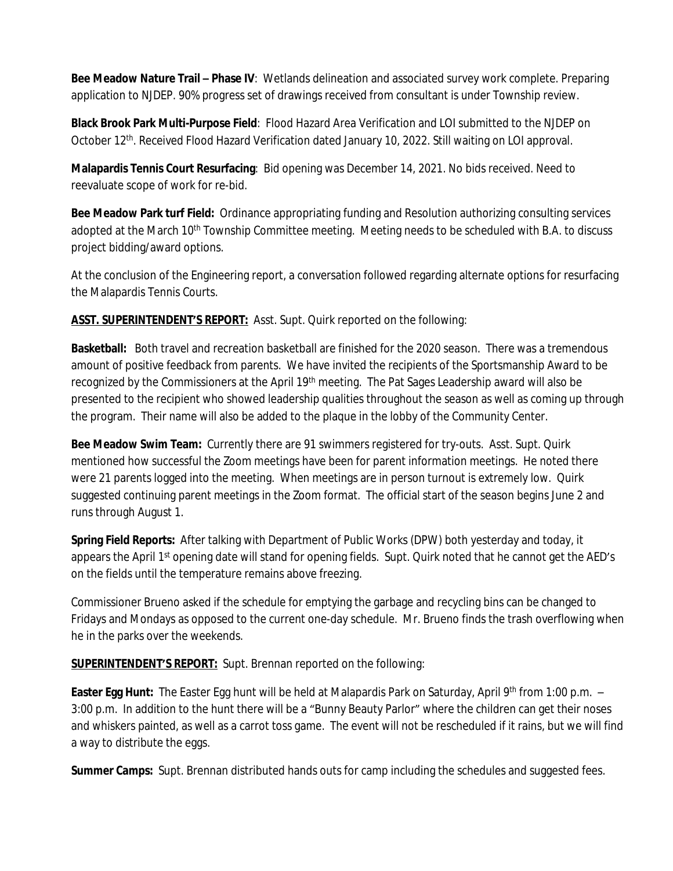**Bee Meadow Nature Trail – Phase IV**: Wetlands delineation and associated survey work complete. Preparing application to NJDEP. 90% progress set of drawings received from consultant is under Township review.

**Black Brook Park Multi-Purpose Field**: Flood Hazard Area Verification and LOI submitted to the NJDEP on October 12th. Received Flood Hazard Verification dated January 10, 2022. Still waiting on LOI approval.

**Malapardis Tennis Court Resurfacing**: Bid opening was December 14, 2021. No bids received. Need to reevaluate scope of work for re-bid.

**Bee Meadow Park turf Field:** Ordinance appropriating funding and Resolution authorizing consulting services adopted at the March 10<sup>th</sup> Township Committee meeting. Meeting needs to be scheduled with B.A. to discuss project bidding/award options.

At the conclusion of the Engineering report, a conversation followed regarding alternate options for resurfacing the Malapardis Tennis Courts.

**ASST. SUPERINTENDENT'S REPORT:** Asst. Supt. Quirk reported on the following:

**Basketball:** Both travel and recreation basketball are finished for the 2020 season. There was a tremendous amount of positive feedback from parents. We have invited the recipients of the Sportsmanship Award to be recognized by the Commissioners at the April 19<sup>th</sup> meeting. The Pat Sages Leadership award will also be presented to the recipient who showed leadership qualities throughout the season as well as coming up through the program. Their name will also be added to the plaque in the lobby of the Community Center.

**Bee Meadow Swim Team:** Currently there are 91 swimmers registered for try-outs. Asst. Supt. Quirk mentioned how successful the Zoom meetings have been for parent information meetings. He noted there were 21 parents logged into the meeting. When meetings are in person turnout is extremely low. Quirk suggested continuing parent meetings in the Zoom format. The official start of the season begins June 2 and runs through August 1.

**Spring Field Reports:** After talking with Department of Public Works (DPW) both yesterday and today, it appears the April 1<sup>st</sup> opening date will stand for opening fields. Supt. Quirk noted that he cannot get the AED's on the fields until the temperature remains above freezing.

Commissioner Brueno asked if the schedule for emptying the garbage and recycling bins can be changed to Fridays and Mondays as opposed to the current one-day schedule. Mr. Brueno finds the trash overflowing when he in the parks over the weekends.

**SUPERINTENDENT'S REPORT:** Supt. Brennan reported on the following:

**Easter Egg Hunt:** The Easter Egg hunt will be held at Malapardis Park on Saturday, April 9th from 1:00 p.m. – 3:00 p.m. In addition to the hunt there will be a "Bunny Beauty Parlor" where the children can get their noses and whiskers painted, as well as a carrot toss game. The event will not be rescheduled if it rains, but we will find a way to distribute the eggs.

**Summer Camps:** Supt. Brennan distributed hands outs for camp including the schedules and suggested fees.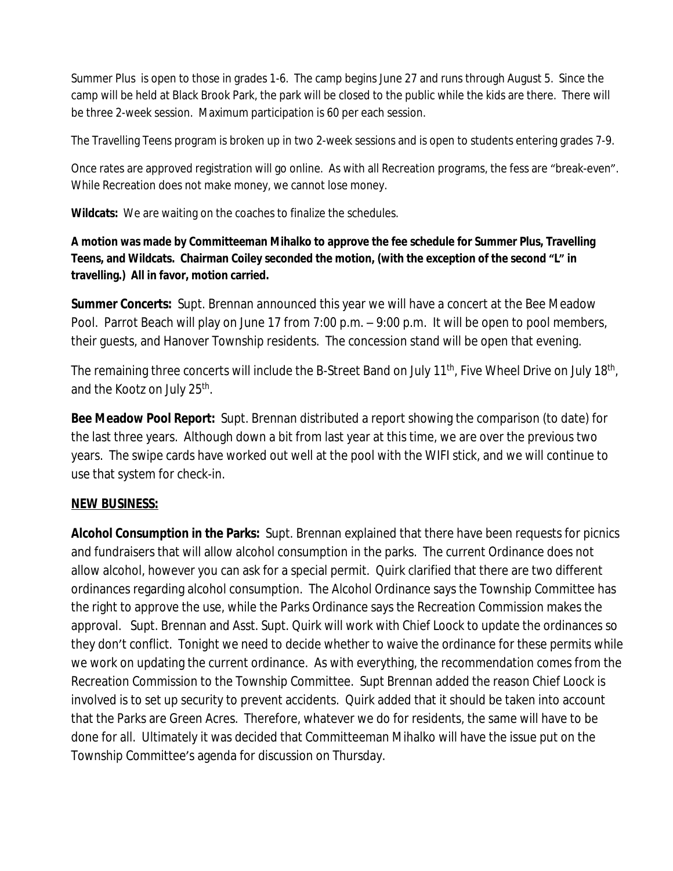Summer Plus is open to those in grades 1-6. The camp begins June 27 and runs through August 5. Since the camp will be held at Black Brook Park, the park will be closed to the public while the kids are there. There will be three 2-week session. Maximum participation is 60 per each session.

The Travelling Teens program is broken up in two 2-week sessions and is open to students entering grades 7-9.

Once rates are approved registration will go online. As with all Recreation programs, the fess are "break-even". While Recreation does not make money, we cannot lose money.

**Wildcats:** We are waiting on the coaches to finalize the schedules.

**A motion was made by Committeeman Mihalko to approve the fee schedule for Summer Plus, Travelling Teens, and Wildcats. Chairman Coiley seconded the motion, (with the exception of the second "L" in travelling.) All in favor, motion carried.**

**Summer Concerts:** Supt. Brennan announced this year we will have a concert at the Bee Meadow Pool. Parrot Beach will play on June 17 from 7:00 p.m. – 9:00 p.m. It will be open to pool members, their guests, and Hanover Township residents. The concession stand will be open that evening.

The remaining three concerts will include the B-Street Band on July 11<sup>th</sup>, Five Wheel Drive on July 18<sup>th</sup>, and the Kootz on July 25<sup>th</sup>.

**Bee Meadow Pool Report:** Supt. Brennan distributed a report showing the comparison (to date) for the last three years. Although down a bit from last year at this time, we are over the previous two years. The swipe cards have worked out well at the pool with the WIFI stick, and we will continue to use that system for check-in.

### **NEW BUSINESS:**

**Alcohol Consumption in the Parks:** Supt. Brennan explained that there have been requests for picnics and fundraisers that will allow alcohol consumption in the parks. The current Ordinance does not allow alcohol, however you can ask for a special permit. Quirk clarified that there are two different ordinances regarding alcohol consumption. The Alcohol Ordinance says the Township Committee has the right to approve the use, while the Parks Ordinance says the Recreation Commission makes the approval. Supt. Brennan and Asst. Supt. Quirk will work with Chief Loock to update the ordinances so they don't conflict. Tonight we need to decide whether to waive the ordinance for these permits while we work on updating the current ordinance. As with everything, the recommendation comes from the Recreation Commission to the Township Committee. Supt Brennan added the reason Chief Loock is involved is to set up security to prevent accidents. Quirk added that it should be taken into account that the Parks are Green Acres. Therefore, whatever we do for residents, the same will have to be done for all. Ultimately it was decided that Committeeman Mihalko will have the issue put on the Township Committee's agenda for discussion on Thursday.